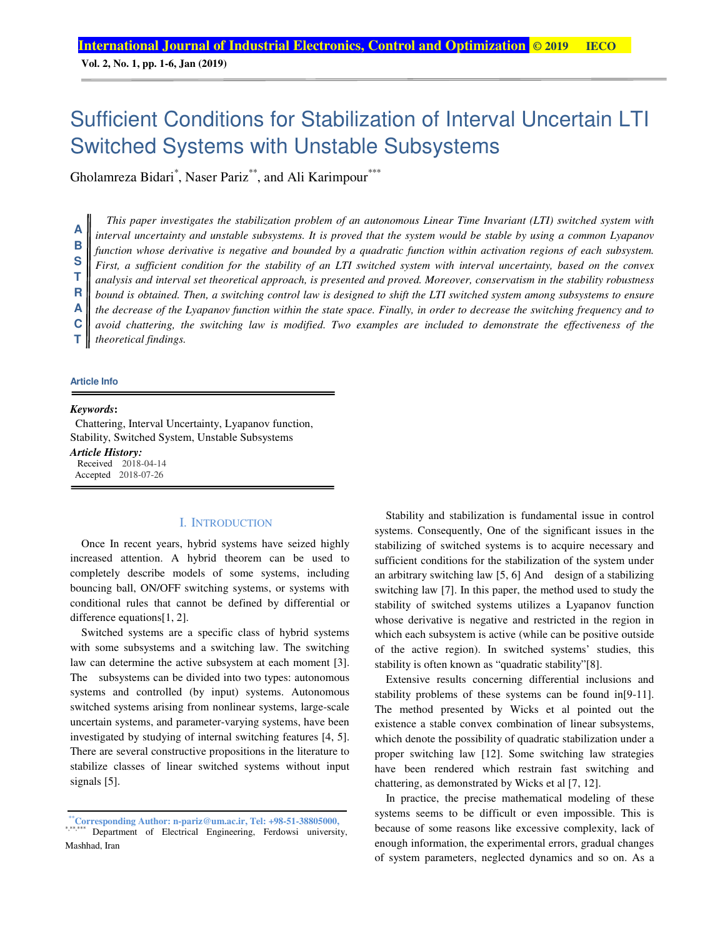**Vol. 2, No. 1, pp. 1-6, Jan (2019)**

# Sufficient Conditions for Stabilization of Interval Uncertain LTI Switched Systems with Unstable Subsystems

Gholamreza Bidari<sup>\*</sup>, Naser Pariz<sup>\*\*</sup>, and Ali Karimpour<sup>\*\*\*</sup>

*This paper investigates the stabilization problem of an autonomous Linear Time Invariant (LTI) switched system with interval uncertainty and unstable subsystems. It is proved that the system would be stable by using a common Lyapanov function whose derivative is negative and bounded by a quadratic function within activation regions of each subsystem. First, a sufficient condition for the stability of an LTI switched system with interval uncertainty, based on the convex analysis and interval set theoretical approach, is presented and proved. Moreover, conservatism in the stability robustness bound is obtained. Then, a switching control law is designed to shift the LTI switched system among subsystems to ensure the decrease of the Lyapanov function within the state space. Finally, in order to decrease the switching frequency and to avoid chattering, the switching law is modified. Two examples are included to demonstrate the effectiveness of the theoretical findings.*  **A B S T R A C T**

#### **Article Info**

#### *Keywords***:**

Chattering, Interval Uncertainty, Lyapanov function, Stability, Switched System, Unstable Subsystems *Article History:*  Received 2018-04-14 Accepted 2018-07-26

## I. INTRODUCTION

Once In recent years, hybrid systems have seized highly increased attention. A hybrid theorem can be used to completely describe models of some systems, including bouncing ball, ON/OFF switching systems, or systems with conditional rules that cannot be defined by differential or difference equations[1, 2].

Switched systems are a specific class of hybrid systems with some subsystems and a switching law. The switching law can determine the active subsystem at each moment [3]. The subsystems can be divided into two types: autonomous systems and controlled (by input) systems. Autonomous switched systems arising from nonlinear systems, large-scale uncertain systems, and parameter-varying systems, have been investigated by studying of internal switching features [4, 5]. There are several constructive propositions in the literature to stabilize classes of linear switched systems without input signals [5].

Stability and stabilization is fundamental issue in control systems. Consequently, One of the significant issues in the stabilizing of switched systems is to acquire necessary and sufficient conditions for the stabilization of the system under an arbitrary switching law [5, 6] And design of a stabilizing switching law [7]. In this paper, the method used to study the stability of switched systems utilizes a Lyapanov function whose derivative is negative and restricted in the region in which each subsystem is active (while can be positive outside of the active region). In switched systems' studies, this stability is often known as "quadratic stability"[8].

Extensive results concerning differential inclusions and stability problems of these systems can be found in[9-11]. The method presented by Wicks et al pointed out the existence a stable convex combination of linear subsystems, which denote the possibility of quadratic stabilization under a proper switching law [12]. Some switching law strategies have been rendered which restrain fast switching and chattering, as demonstrated by Wicks et al [7, 12].

In practice, the precise mathematical modeling of these systems seems to be difficult or even impossible. This is because of some reasons like excessive complexity, lack of enough information, the experimental errors, gradual changes of system parameters, neglected dynamics and so on. As a

**<sup>\*\*</sup>Corresponding Author: n-pariz@um.ac.ir, Tel: +98-51-38805000,**  \*,\*\*\*\*\*\* Department of Electrical Engineering, Ferdowsi university, Mashhad, Iran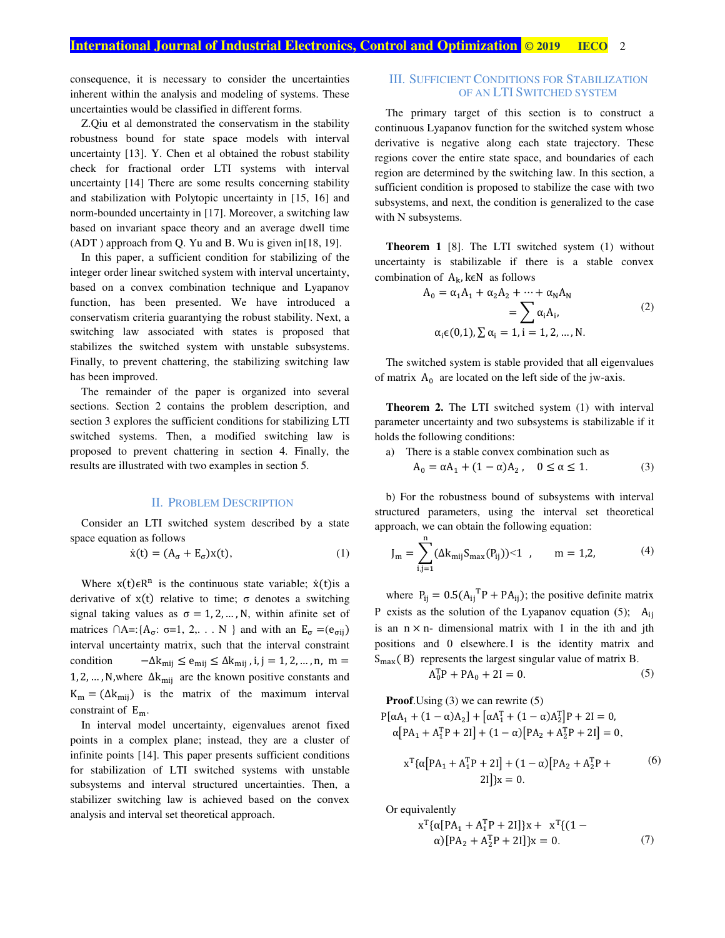# **International Journal of Industrial Electronics, Control and Optimization © 2019 IECO 2019**

consequence, it is necessary to consider the uncertainties inherent within the analysis and modeling of systems. These uncertainties would be classified in different forms.

Z.Qiu et al demonstrated the conservatism in the stability robustness bound for state space models with interval uncertainty [13]. Y. Chen et al obtained the robust stability check for fractional order LTI systems with interval uncertainty [14] There are some results concerning stability and stabilization with Polytopic uncertainty in [15, 16] and norm-bounded uncertainty in [17]. Moreover, a switching law based on invariant space theory and an average dwell time (ADT ) approach from Q. Yu and B. Wu is given in[18, 19].

In this paper, a sufficient condition for stabilizing of the integer order linear switched system with interval uncertainty, based on a convex combination technique and Lyapanov function, has been presented. We have introduced a conservatism criteria guarantying the robust stability. Next, a switching law associated with states is proposed that stabilizes the switched system with unstable subsystems. Finally, to prevent chattering, the stabilizing switching law has been improved.

The remainder of the paper is organized into several sections. Section 2 contains the problem description, and section 3 explores the sufficient conditions for stabilizing LTI switched systems. Then, a modified switching law is proposed to prevent chattering in section 4. Finally, the results are illustrated with two examples in section 5.

#### II. PROBLEM DESCRIPTION

Consider an LTI switched system described by a state space equation as follows

$$
\dot{x}(t) = (A_{\sigma} + E_{\sigma})x(t),\tag{1}
$$

Where  $x(t) \in R^n$  is the continuous state variable;  $\dot{x}(t)$  is a derivative of  $x(t)$  relative to time;  $\sigma$  denotes a switching signal taking values as  $\sigma = 1, 2, ..., N$ , within afinite set of matrices  $\bigcap A = \{A_{\sigma}: \sigma = 1, 2, \ldots N\}$  and with an  $E_{\sigma} = (e_{\sigma ii})$ interval uncertainty matrix, such that the interval constraint condition  $-\Delta k_{\text{mij}} \le e_{\text{mij}} \le \Delta k_{\text{mij}}$ , i, j = 1, 2, ..., n, m = 1, 2, ..., N,where  $\Delta k_{\text{mij}}$  are the known positive constants and  $K_m = (\Delta k_{\text{mij}})$  is the matrix of the maximum interval constraint of  $E_m$ .

In interval model uncertainty, eigenvalues arenot fixed points in a complex plane; instead, they are a cluster of infinite points [14]. This paper presents sufficient conditions for stabilization of LTI switched systems with unstable subsystems and interval structured uncertainties. Then, a stabilizer switching law is achieved based on the convex analysis and interval set theoretical approach.

## III. SUFFICIENT CONDITIONS FOR STABILIZATION OF AN LTI SWITCHED SYSTEM

The primary target of this section is to construct a continuous Lyapanov function for the switched system whose derivative is negative along each state trajectory. These regions cover the entire state space, and boundaries of each region are determined by the switching law. In this section, a sufficient condition is proposed to stabilize the case with two subsystems, and next, the condition is generalized to the case with N subsystems.

**Theorem 1** [8]. The LTI switched system (1) without uncertainty is stabilizable if there is a stable convex combination of  $A_k$ , k $\in$ N as follows

$$
A_0 = \alpha_1 A_1 + \alpha_2 A_2 + \dots + \alpha_N A_N
$$
  
= 
$$
\sum_{\alpha_i \in (0,1), \sum \alpha_i = 1, i = 1, 2, \dots, N} \alpha_i,
$$
 (2)

The switched system is stable provided that all eigenvalues of matrix  $A_0$  are located on the left side of the jw-axis.

**Theorem 2.** The LTI switched system (1) with interval parameter uncertainty and two subsystems is stabilizable if it holds the following conditions:

- a) There is a stable convex combination such as
	- $A_0 = \alpha A_1 + (1 \alpha) A_2, \quad 0 \le \alpha \le 1.$  (3)

b) For the robustness bound of subsystems with interval structured parameters, using the interval set theoretical approach, we can obtain the following equation:

$$
J_m = \sum_{i,j=1}^{n} (\Delta k_{mij} S_{max}(P_{ij})) < 1 \quad , \qquad m = 1,2,\tag{4}
$$

where  $P_{ij} = 0.5(A_{ij}^T P + PA_{ij})$ ; the positive definite matrix P exists as the solution of the Lyapanov equation (5);  $A_{ij}$ is an  $n \times n$ - dimensional matrix with 1 in the ith and jth positions and 0 elsewhere. I is the identity matrix and  $S_{\text{max}}(B)$  represents the largest singular value of matrix B.

$$
A_0^{\rm T}P + PA_0 + 2I = 0. \tag{5}
$$

**Proof**.Using (3) we can rewrite (5)

$$
P[\alpha A_1 + (1 - \alpha)A_2] + [\alpha A_1^T + (1 - \alpha)A_2^T]P + 2I = 0,
$$
  
\n
$$
\alpha [PA_1 + A_1^TP + 2I] + (1 - \alpha)[PA_2 + A_2^TP + 2I] = 0,
$$

$$
x^{T}\{\alpha[PA_{1} + A_{1}^{T}P + 2I] + (1 - \alpha)[PA_{2} + A_{2}^{T}P + 2I]\}x = 0.
$$
 (6)

Or equivalently

$$
x^{T}\{\alpha [PA_{1} + A_{1}^{T}P + 2I]\}x + x^{T}\{(1 - \alpha)[PA_{2} + A_{2}^{T}P + 2I]\}x = 0.
$$
 (7)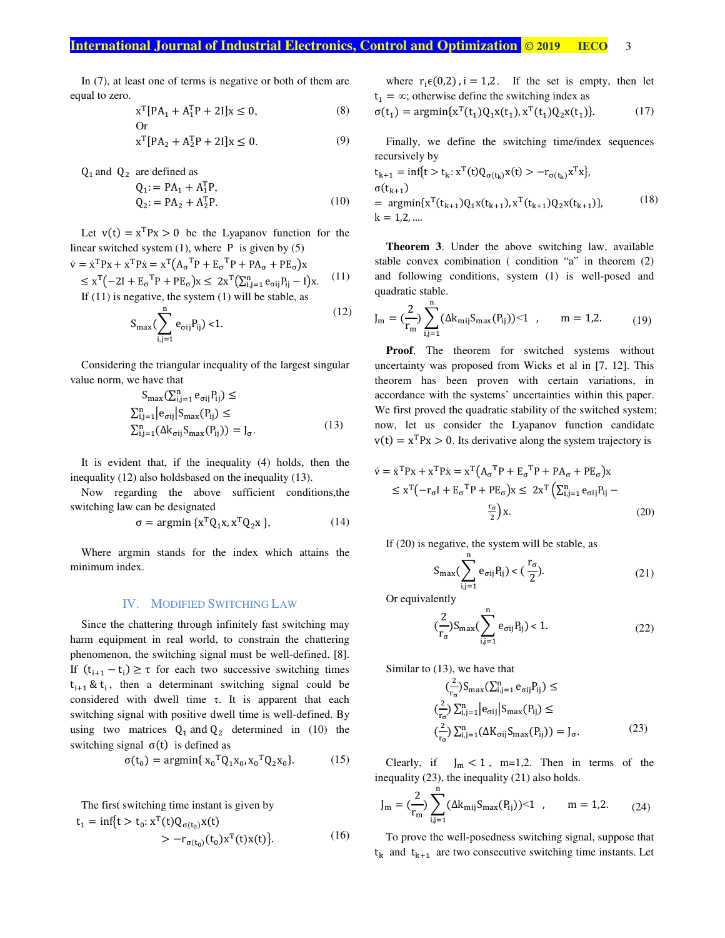# **International Journal of Industrial Electronics, Control and Optimization © 2019 IECO 3**

 $(12)$ 

In (7), at least one of terms is negative or both of them are equal to zero.

$$
x^{T}[PA_{1} + A_{1}^{T}P + 2I]x \le 0,
$$
 (8)

$$
x^{T}[PA_{2} + A_{2}^{T}P + 2I]x \le 0.
$$
 (9)

 $Q_1$  and  $Q_2$  are defined as

$$
Q_1 = PA_1 + A_1^{\text{T}}P,
$$
  
\n
$$
Q_2 = PA_2 + A_2^{\text{T}}P.
$$
\n(10)

Let  $v(t) = x^{T}Px > 0$  be the Lyapanov function for the linear switched system  $(1)$ , where P is given by  $(5)$ 

$$
\dot{\mathbf{v}} = \dot{\mathbf{x}}^{\mathrm{T}} \mathbf{P} \mathbf{x} + \mathbf{x}^{\mathrm{T}} \mathbf{P} \dot{\mathbf{x}} = \mathbf{x}^{\mathrm{T}} (\mathbf{A}_{\sigma}^{\mathrm{T}} \mathbf{P} + \mathbf{E}_{\sigma}^{\mathrm{T}} \mathbf{P} + \mathbf{P} \mathbf{A}_{\sigma} + \mathbf{P} \mathbf{E}_{\sigma}) \mathbf{x}
$$
  
\n
$$
\leq \mathbf{x}^{\mathrm{T}} (-2\mathbf{I} + \mathbf{E}_{\sigma}^{\mathrm{T}} \mathbf{P} + \mathbf{P} \mathbf{E}_{\sigma}) \mathbf{x} \leq 2\mathbf{x}^{\mathrm{T}} (\sum_{i,j=1}^{n} \mathbf{e}_{\sigma ij} \mathbf{P}_{ij} - \mathbf{I}) \mathbf{x}. \tag{11}
$$
  
\nIf (11) is negative, the system (1) will be stable, as

If (11) is negative, the system (1) will be stable, as

$$
S_{\max}\left(\sum_{i,j=1}^{n} e_{\sigma ij} P_{ij}\right) < 1. \tag{12}
$$

Considering the triangular inequality of the largest singular value norm, we have that

$$
S_{\max}(\Sigma_{i,j=1}^{n} e_{\sigma ij} P_{ij}) \le
$$
  
\n
$$
\sum_{i,j=1}^{n} |e_{\sigma ij}| S_{\max} (P_{ij}) \le
$$
  
\n
$$
\sum_{i,j=1}^{n} (\Delta k_{\sigma ij} S_{\max} (P_{ij})) = J_{\sigma}.
$$
\n(13)

It is evident that, if the inequality (4) holds, then the inequality (12) also holdsbased on the inequality (13).

Now regarding the above sufficient conditions,the switching law can be designated

$$
\sigma = \operatorname{argmin} \{ x^T Q_1 x, x^T Q_2 x \}, \tag{14}
$$

Where argmin stands for the index which attains the minimum index.

## IV. MODIFIED SWITCHING LAW

Since the chattering through infinitely fast switching may harm equipment in real world, to constrain the chattering phenomenon, the switching signal must be well-defined. [8]. If  $(t_{i+1} - t_i) \ge \tau$  for each two successive switching times  $t_{i+1}$  &  $t_i$ , then a determinant switching signal could be considered with dwell time  $\tau$ . It is apparent that each switching signal with positive dwell time is well-defined. By using two matrices  $Q_1$  and  $Q_2$  determined in (10) the switching signal  $σ(t)$  is defined as

$$
\sigma(t_0) = \operatorname{argmin} \{ x_0^T Q_1 x_0, x_0^T Q_2 x_0 \}. \tag{15}
$$

The first switching time instant is given by

$$
t_1 = \inf\{t > t_0 : x^T(t)Q_{\sigma(t_0)}x(t) > -r_{\sigma(t_0)}(t_0)x^T(t)x(t)\}.
$$
 (16)

where  $r_i \in (0,2)$ ,  $i = 1,2$ . If the set is empty, then let  $t_1 = \infty$ ; otherwise define the switching index as

$$
\sigma(t_1) = \operatorname{argmin}\{x^T(t_1)Q_1x(t_1), x^T(t_1)Q_2x(t_1)\}.
$$
 (17)

Finally, we define the switching time/index sequences recursively by

$$
t_{k+1} = \inf\{t > t_k : x^T(t)Q_{\sigma(t_k)}x(t) > -r_{\sigma(t_k)}x^Tx\},
$$
  
\n
$$
\sigma(t_{k+1}) = \underset{k}{\text{argmin}}\{x^T(t_{k+1})Q_1x(t_{k+1}), x^T(t_{k+1})Q_2x(t_{k+1})\},
$$
\n
$$
t = 1,2,....
$$
\n(18)

**Theorem 3**. Under the above switching law, available stable convex combination ( condition "a" in theorem (2) and following conditions, system (1) is well-posed and quadratic stable.

$$
J_{m} = \left(\frac{2}{r_{m}}\right) \sum_{i,j=1}^{n} (\Delta k_{mij} S_{max}(P_{ij})) < 1 \quad , \qquad m = 1,2. \tag{19}
$$

**Proof**. The theorem for switched systems without uncertainty was proposed from Wicks et al in [7, 12]. This theorem has been proven with certain variations, in accordance with the systems' uncertainties within this paper. We first proved the quadratic stability of the switched system; now, let us consider the Lyapanov function candidate  $v(t) = x^{T}Px > 0$ . Its derivative along the system trajectory is

$$
\dot{\mathbf{v}} = \dot{\mathbf{x}}^{\mathrm{T}} \mathbf{P} \mathbf{x} + \mathbf{x}^{\mathrm{T}} \mathbf{P} \dot{\mathbf{x}} = \mathbf{x}^{\mathrm{T}} (\mathbf{A}_{\sigma}^{\mathrm{T}} \mathbf{P} + \mathbf{E}_{\sigma}^{\mathrm{T}} \mathbf{P} + \mathbf{P} \mathbf{A}_{\sigma} + \mathbf{P} \mathbf{E}_{\sigma}) \mathbf{x}
$$
\n
$$
\leq \mathbf{x}^{\mathrm{T}} (\mathbf{-r}_{\sigma} \mathbf{I} + \mathbf{E}_{\sigma}^{\mathrm{T}} \mathbf{P} + \mathbf{P} \mathbf{E}_{\sigma}) \mathbf{x} \leq 2 \mathbf{x}^{\mathrm{T}} (\sum_{i,j=1}^{n} \mathbf{e}_{\sigma ij} \mathbf{P}_{ij} - \frac{\mathbf{r}_{\sigma}}{2}) \mathbf{x}.
$$
\n(20)

If (20) is negative, the system will be stable, as

$$
S_{\max}\left(\sum_{i,j=1}^{n}e_{\sigma ij}P_{ij}\right) < \left(\frac{r_{\sigma}}{2}\right). \tag{21}
$$

Or equivalently

$$
(\frac{2}{r_{\sigma}})S_{\max}(\sum_{i,j=1}^{n}e_{\sigma ij}P_{ij}) < 1.
$$
 (22)

Similar to (13), we have that

$$
\left(\frac{2}{r_{\sigma}}\right)S_{\max}\left(\sum_{i,j=1}^{n}e_{\sigma ij}P_{ij}\right) \le
$$
\n
$$
\left(\frac{2}{r_{\sigma}}\right)\sum_{i,j=1}^{n} |e_{\sigma ij}|S_{\max}(P_{ij}) \le
$$
\n
$$
\left(\frac{2}{r_{\sigma}}\right)\sum_{i,j=1}^{n} (\Delta K_{\sigma ij}S_{\max}(P_{ij})) = J_{\sigma}.
$$
\n(23)

Clearly, if  $J_m < 1$ , m=1,2. Then in terms of the inequality (23), the inequality (21) also holds.

$$
J_m = (\frac{2}{r_m}) \sum_{i,j=1}^n (\Delta k_{mij} S_{max}(P_{ij})) < 1 \quad , \qquad m = 1, 2. \tag{24}
$$

To prove the well-posedness switching signal, suppose that  $t_k$  and  $t_{k+1}$  are two consecutive switching time instants. Let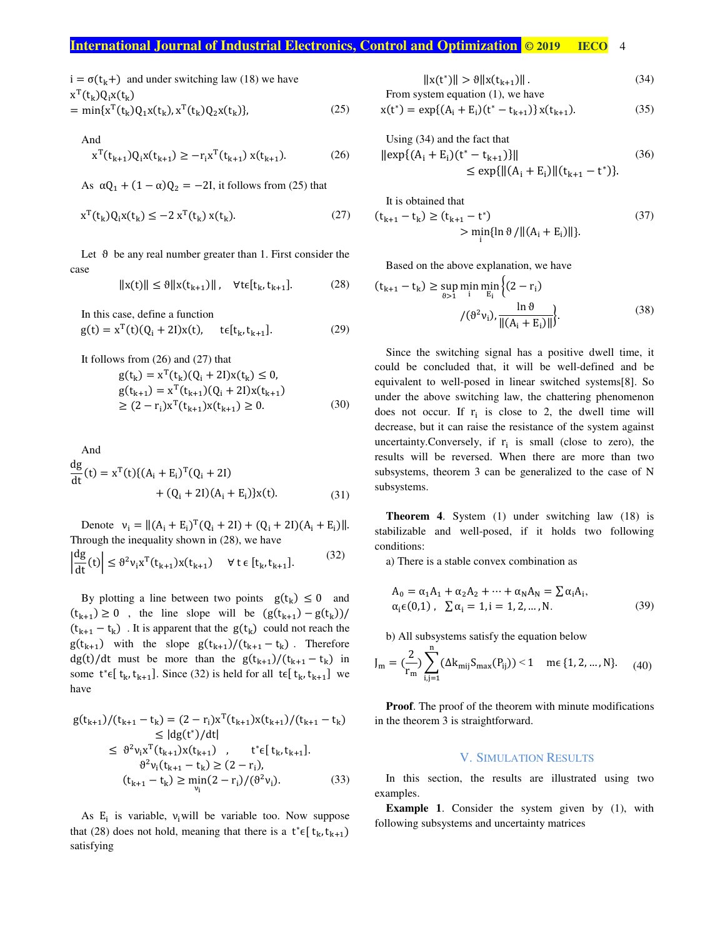## **International Journal of Industrial Electronics, Control and Optimization © 2019 IECO 4**

$$
i = \sigma(t_k +)
$$
 and under switching law (18) we have  
\n
$$
x^{T}(t_k)Q_1x(t_k)
$$
\n
$$
= \min\{x^{T}(t_k)Q_1x(t_k) + x^{T}(t_k)Q_2x(t_k)\}
$$

$$
= \min\{x^{T}(t_{k})Q_{1}x(t_{k}), x^{T}(t_{k})Q_{2}x(t_{k})\},
$$
\n(25)

And  

$$
x^{T}(t_{k+1})Q_{i}x(t_{k+1}) \ge -r_{i}x^{T}(t_{k+1})x(t_{k+1}).
$$
 (26)

As  $\alpha Q_1 + (1 - \alpha)Q_2 = -2I$ , it follows from (25) that

$$
\mathbf{x}^{\mathrm{T}}(\mathbf{t}_{k})\mathbf{Q}_{i}\mathbf{x}(\mathbf{t}_{k}) \leq -2\mathbf{x}^{\mathrm{T}}(\mathbf{t}_{k})\mathbf{x}(\mathbf{t}_{k}).
$$
\n(27)

Let  $\theta$  be any real number greater than 1. First consider the case

$$
||x(t)|| \le \theta ||x(t_{k+1})||, \quad \forall t \in [t_k, t_{k+1}]. \tag{28}
$$

In this case, define a function  
\n
$$
g(t) = x^{T}(t)(Q_{i} + 2I)x(t), \quad t \in [t_{k}, t_{k+1}].
$$
\n(29)

It follows from (26) and (27) that  
\n
$$
g(t_k) = x^T(t_k)(Q_i + 2I)x(t_k) \le 0,
$$
\n
$$
g(t_{k+1}) = x^T(t_{k+1})(Q_i + 2I)x(t_{k+1})
$$
\n
$$
\ge (2 - r_i)x^T(t_{k+1})x(t_{k+1}) \ge 0.
$$
\n(30)

And  
\n
$$
\frac{dg}{dt}(t) = x^{T}(t)\{(A_{i} + E_{i})^{T}(Q_{i} + 2I) + (Q_{i} + 2I)(A_{i} + E_{i})\}x(t).
$$
\n(31)

Denote  $v_i = ||(A_i + E_i)^T (Q_i + 2I) + (Q_i + 2I)(A_i + E_i) ||$ . Through the inequality shown in (28), we have

$$
\left|\frac{dg}{dt}(t)\right| \le \vartheta^2 v_i x^T(t_{k+1}) x(t_{k+1}) \quad \forall \ t \in [t_k, t_{k+1}]. \tag{32}
$$

By plotting a line between two points  $g(t_k) \leq 0$  and  $(t_{k+1}) \ge 0$ , the line slope will be  $(g(t_{k+1}) - g(t_k))/$  $(t_{k+1} - t_k)$ . It is apparent that the  $g(t_k)$  could not reach the  $g(t_{k+1})$  with the slope  $g(t_{k+1})/(t_{k+1} - t_k)$ . Therefore dg(t)/dt must be more than the  $g(t_{k+1})/(t_{k+1} - t_k)$  in some  $t^* \in [t_k, t_{k+1}]$ . Since (32) is held for all  $t \in [t_k, t_{k+1}]$  we have

$$
g(t_{k+1})/(t_{k+1} - t_k) = (2 - r_i)x^{T}(t_{k+1})x(t_{k+1})/(t_{k+1} - t_k)
$$
  
\n
$$
\leq |dg(t^{*})/dt|
$$
  
\n
$$
\leq \vartheta^{2}v_{i}x^{T}(t_{k+1})x(t_{k+1}), \qquad t^{*}\in [t_{k}, t_{k+1}].
$$
  
\n
$$
\vartheta^{2}v_{i}(t_{k+1} - t_{k}) \geq (2 - r_{i}),
$$
  
\n
$$
(t_{k+1} - t_{k}) \geq \min_{v_{i}} (2 - r_{i})/(\vartheta^{2}v_{i}).
$$
\n(33)

As  $E_i$  is variable,  $v_i$  will be variable too. Now suppose that (28) does not hold, meaning that there is a  $t^* \in [t_k, t_{k+1})$ satisfying

$$
||x(t^*)|| > \theta ||x(t_{k+1})||. \tag{34}
$$

From system equation (1), we have  
\n
$$
x(t^*) = \exp\{(A_i + E_i)(t^* - t_{k+1})\}x(t_{k+1}).
$$
\n(35)

Using (34) and the fact that  
\n
$$
\|\exp\{(A_i + E_i)(t^* - t_{k+1})\}\|
$$
\n
$$
\le \exp\{\|(A_i + E_i)\|(t_{k+1} - t^*)\}.
$$
\n(36)

It is obtained that

$$
(t_{k+1} - t_k) \ge (t_{k+1} - t^*)
$$
  
> 
$$
\min_{i} \{ \ln \vartheta / || (A_i + E_i) || \}.
$$
 (37)

Based on the above explanation, we have

$$
(t_{k+1} - t_k) \ge \sup_{\vartheta > 1} \min_{i} \min_{E_i} \left\{ (2 - r_i) \frac{\ln \vartheta}{\|(A_i + E_i)\|} \right\}.
$$
 (38)

Since the switching signal has a positive dwell time, it could be concluded that, it will be well-defined and be equivalent to well-posed in linear switched systems[8]. So under the above switching law, the chattering phenomenon does not occur. If  $r_i$  is close to 2, the dwell time will decrease, but it can raise the resistance of the system against uncertainty. Conversely, if  $r_i$  is small (close to zero), the results will be reversed. When there are more than two subsystems, theorem 3 can be generalized to the case of N subsystems.

**Theorem 4**. System (1) under switching law (18) is stabilizable and well-posed, if it holds two following conditions:

a) There is a stable convex combination as

$$
A_0 = \alpha_1 A_1 + \alpha_2 A_2 + \dots + \alpha_N A_N = \sum \alpha_i A_i,
$$
  
\n
$$
\alpha_i \in (0,1), \sum \alpha_i = 1, i = 1,2,\dots,N.
$$
 (39)

b) All subsystems satisfy the equation below

$$
J_m = (\frac{2}{r_m}) \sum_{i,j=1}^n (\Delta k_{mij} S_{max}(P_{ij})) < 1 \quad \text{ me } \{1, 2, ..., N\}. \tag{40}
$$

**Proof**. The proof of the theorem with minute modifications in the theorem 3 is straightforward.

## V. SIMULATION RESULTS

In this section, the results are illustrated using two examples.

**Example 1**. Consider the system given by (1), with following subsystems and uncertainty matrices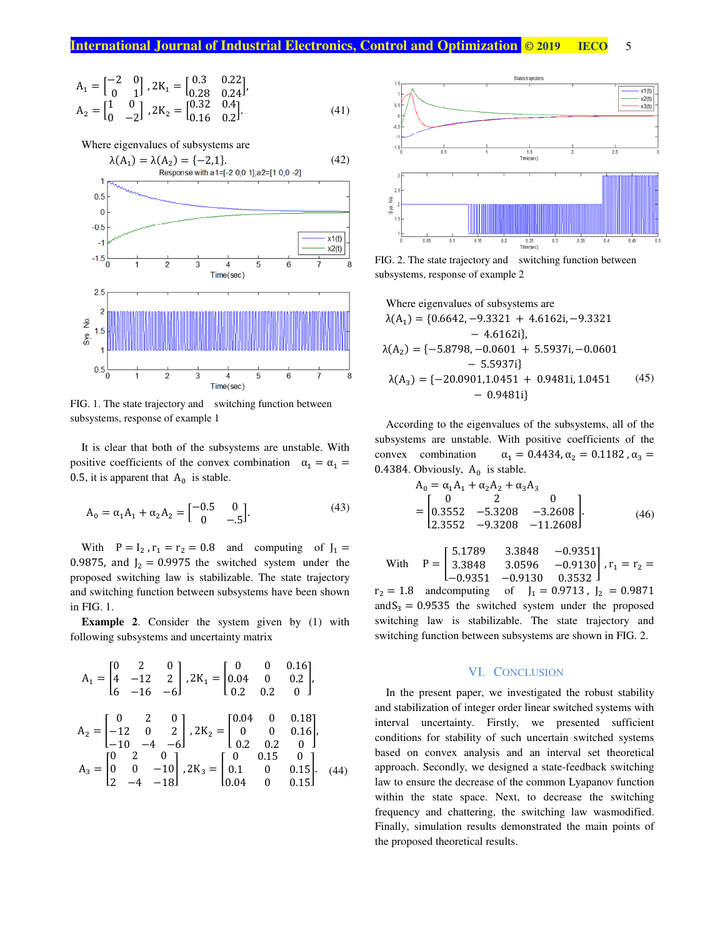$$
A_1 = \begin{bmatrix} -2 & 0 \\ 0 & 1 \end{bmatrix}, 2K_1 = \begin{bmatrix} 0.3 & 0.22 \\ 0.28 & 0.24 \end{bmatrix},
$$
  
\n
$$
A_2 = \begin{bmatrix} 1 & 0 \\ 0 & -2 \end{bmatrix}, 2K_2 = \begin{bmatrix} 0.32 & 0.4 \\ 0.16 & 0.2 \end{bmatrix}.
$$
 (41)



FIG. 1. The state trajectory and switching function between subsystems, response of example 1

It is clear that both of the subsystems are unstable. With positive coefficients of the convex combination  $\alpha_1 = \alpha_1 =$ 0.5, it is apparent that  $A_0$  is stable.

$$
A_0 = \alpha_1 A_1 + \alpha_2 A_2 = \begin{bmatrix} -0.5 & 0 \\ 0 & -0.5 \end{bmatrix}.
$$
 (43)

With  $P = I_2$ ,  $r_1 = r_2 = 0.8$  and computing of  $J_1 =$ 0.9875, and  $J_2 = 0.9975$  the switched system under the proposed switching law is stabilizable. The state trajectory and switching function between subsystems have been shown in FIG. 1.

**Example 2.** Consider the system given by (1) with following subsystems and uncertainty matrix

$$
A_1 = \begin{bmatrix} 0 & 2 & 0 \\ 4 & -12 & 2 \\ 6 & -16 & -6 \end{bmatrix}, 2K_1 = \begin{bmatrix} 0 & 0 & 0.16 \\ 0.04 & 0 & 0.2 \\ 0.2 & 0.2 & 0 \end{bmatrix},
$$
  
\n
$$
A_2 = \begin{bmatrix} 0 & 2 & 0 \\ -12 & 0 & 2 \\ -10 & -4 & -6 \end{bmatrix}, 2K_2 = \begin{bmatrix} 0.04 & 0 & 0.18 \\ 0 & 0 & 0.16 \\ 0.2 & 0.2 & 0 \\ 0.2 & 0.2 & 0 \end{bmatrix},
$$
  
\n
$$
A_3 = \begin{bmatrix} 0 & 2 & 0 \\ 0 & 0 & -10 \\ 2 & -4 & -18 \end{bmatrix}, 2K_3 = \begin{bmatrix} 0 & 0.15 & 0 \\ 0.1 & 0 & 0.15 \\ 0.04 & 0 & 0.15 \end{bmatrix}.
$$
 (44)



FIG. 2. The state trajectory and switching function between subsystems, response of example 2

Where eigenvalues of subsystems are  
\n
$$
\lambda(A_1) = \{0.6642, -9.3321 + 4.6162i, -9.3321 -4.6162i\},
$$
\n
$$
\lambda(A_2) = \{-5.8798, -0.0601 + 5.5937i, -0.0601 -5.5937i\}
$$
\n
$$
\lambda(A_3) = \{-20.0901, 1.0451 + 0.9481i, 1.0451 \qquad (45) -0.9481i\}
$$

According to the eigenvalues of the subsystems, all of the subsystems are unstable. With positive coefficients of the convex combination  $\alpha_1 = 0.4434, \alpha_2 = 0.1182$ ,  $\alpha_3 =$ 0.4384. Obviously,  $A_0$  is stable.

$$
A_0 = \alpha_1 A_1 + \alpha_2 A_2 + \alpha_3 A_3
$$
  
= 
$$
\begin{bmatrix} 0 & 2 & 0 \\ 0.3552 & -5.3208 & -3.2608 \\ 2.3552 & -9.3208 & -11.2608 \end{bmatrix}
$$
 (46)

With 
$$
P = \begin{bmatrix} 5.1789 & 3.3848 & -0.9351 \\ 3.3848 & 3.0596 & -0.9130 \\ -0.9351 & -0.9130 & 0.3532 \end{bmatrix}
$$
,  $r_1 = r_2 =$ 

 $r_2 = 1.8$  andcomputing of  $J_1 = 0.9713$ ,  $J_2 = 0.9871$ and  $S_3 = 0.9535$  the switched system under the proposed switching law is stabilizable. The state trajectory and switching function between subsystems are shown in FIG. 2.

#### VI. CONCLUSION

In the present paper, we investigated the robust stability and stabilization of integer order linear switched systems with interval uncertainty. Firstly, we presented sufficient conditions for stability of such uncertain switched systems based on convex analysis and an interval set theoretical approach. Secondly, we designed a state-feedback switching law to ensure the decrease of the common Lyapanov function within the state space. Next, to decrease the switching frequency and chattering, the switching law wasmodified. Finally, simulation results demonstrated the main points of the proposed theoretical results.